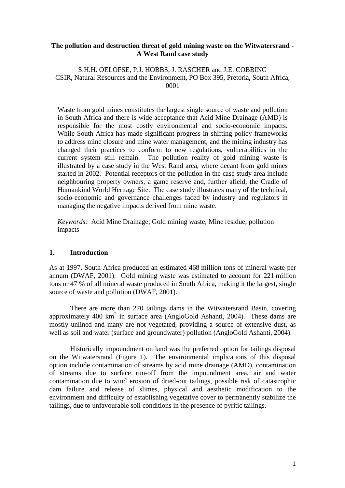### **The pollution and destruction threat of gold mining waste on the Witwatersrand - A West Rand case study**

S.H.H. OELOFSE, P.J. HOBBS, J. RASCHER and J.E. COBBING CSIR, Natural Resources and the Environment, PO Box 395, Pretoria, South Africa, 0001

Waste from gold mines constitutes the largest single source of waste and pollution in South Africa and there is wide acceptance that Acid Mine Drainage (AMD) is responsible for the most costly environmental and socio-economic impacts. While South Africa has made significant progress in shifting policy frameworks to address mine closure and mine water management, and the mining industry has changed their practices to conform to new regulations, vulnerabilities in the current system still remain. The pollution reality of gold mining waste is illustrated by a case study in the West Rand area, where decant from gold mines started in 2002. Potential receptors of the pollution in the case study area include neighbouring property owners, a game reserve and, further afield, the Cradle of Humankind World Heritage Site. The case study illustrates many of the technical, socio-economic and governance challenges faced by industry and regulators in managing the negative impacts derived from mine waste.

*Keywords:* Acid Mine Drainage; Gold mining waste; Mine residue; pollution impacts

## **1. Introduction**

As at 1997, South Africa produced an estimated 468 million tons of mineral waste per annum (DWAF, 2001). Gold mining waste was estimated to account for 221 million tons or 47 % of all mineral waste produced in South Africa, making it the largest, single source of waste and pollution (DWAF, 2001).

There are more than 270 tailings dams in the Witwatersrand Basin, covering approximately 400  $km^2$  in surface area (AngloGold Ashanti, 2004). These dams are mostly unlined and many are not vegetated, providing a source of extensive dust, as well as soil and water (surface and groundwater) pollution (AngloGold Ashanti, 2004).

Historically impoundment on land was the preferred option for tailings disposal on the Witwatersrand (Figure 1). The environmental implications of this disposal option include contamination of streams by acid mine drainage (AMD), contamination of streams due to surface run-off from the impoundment area, air and water contamination due to wind erosion of dried-out tailings, possible risk of catastrophic dam failure and release of slimes, physical and aesthetic modification to the environment and difficulty of establishing vegetative cover to permanently stabilize the tailings, due to unfavourable soil conditions in the presence of pyritic tailings.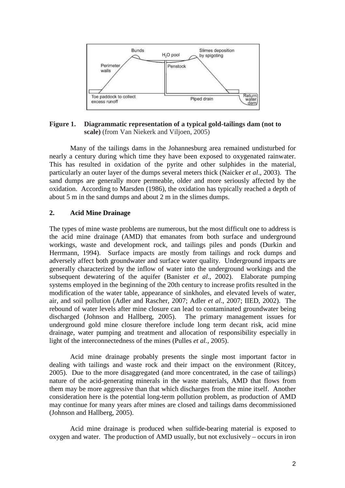

**Figure 1. Diagrammatic representation of a typical gold-tailings dam (not to scale)** (from Van Niekerk and Viljoen, 2005)

Many of the tailings dams in the Johannesburg area remained undisturbed for nearly a century during which time they have been exposed to oxygenated rainwater. This has resulted in oxidation of the pyrite and other sulphides in the material, particularly an outer layer of the dumps several meters thick (Naicker *et al*., 2003). The sand dumps are generally more permeable, older and more seriously affected by the oxidation. According to Marsden (1986), the oxidation has typically reached a depth of about 5 m in the sand dumps and about 2 m in the slimes dumps.

## **2. Acid Mine Drainage**

The types of mine waste problems are numerous, but the most difficult one to address is the acid mine drainage (AMD) that emanates from both surface and underground workings, waste and development rock, and tailings piles and ponds (Durkin and Herrmann*,* 1994). Surface impacts are mostly from tailings and rock dumps and adversely affect both groundwater and surface water quality. Underground impacts are generally characterized by the inflow of water into the underground workings and the subsequent dewatering of the aquifer (Banister *et al*., 2002). Elaborate pumping systems employed in the beginning of the 20th century to increase profits resulted in the modification of the water table, appearance of sinkholes, and elevated levels of water, air, and soil pollution (Adler and Rascher, 2007; Adler *et al*., 2007; IIED, 2002). The rebound of water levels after mine closure can lead to contaminated groundwater being discharged (Johnson and Hallberg, 2005). The primary management issues for underground gold mine closure therefore include long term decant risk, acid mine drainage, water pumping and treatment and allocation of responsibility especially in light of the interconnectedness of the mines (Pulles *et al.*, 2005).

Acid mine drainage probably presents the single most important factor in dealing with tailings and waste rock and their impact on the environment (Ritcey, 2005). Due to the more disaggregated (and more concentrated, in the case of tailings) nature of the acid-generating minerals in the waste materials, AMD that flows from them may be more aggressive than that which discharges from the mine itself. Another consideration here is the potential long-term pollution problem, as production of AMD may continue for many years after mines are closed and tailings dams decommissioned (Johnson and Hallberg, 2005).

Acid mine drainage is produced when sulfide-bearing material is exposed to oxygen and water. The production of AMD usually, but not exclusively – occurs in iron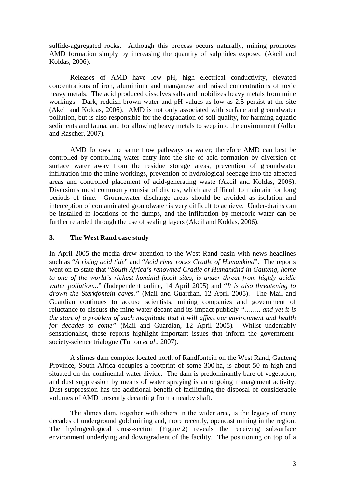sulfide-aggregated rocks. Although this process occurs naturally, mining promotes AMD formation simply by increasing the quantity of sulphides exposed (Akcil and Koldas, 2006).

Releases of AMD have low pH, high electrical conductivity, elevated concentrations of iron, aluminium and manganese and raised concentrations of toxic heavy metals. The acid produced dissolves salts and mobilizes heavy metals from mine workings. Dark, reddish-brown water and pH values as low as 2.5 persist at the site (Akcil and Koldas, 2006). AMD is not only associated with surface and groundwater pollution, but is also responsible for the degradation of soil quality, for harming aquatic sediments and fauna, and for allowing heavy metals to seep into the environment (Adler and Rascher, 2007).

AMD follows the same flow pathways as water; therefore AMD can best be controlled by controlling water entry into the site of acid formation by diversion of surface water away from the residue storage areas, prevention of groundwater infiltration into the mine workings, prevention of hydrological seepage into the affected areas and controlled placement of acid-generating waste (Akcil and Koldas, 2006). Diversions most commonly consist of ditches, which are difficult to maintain for long periods of time. Groundwater discharge areas should be avoided as isolation and interception of contaminated groundwater is very difficult to achieve. Under-drains can be installed in locations of the dumps, and the infiltration by meteoric water can be further retarded through the use of sealing layers (Akcil and Koldas, 2006).

## **3. The West Rand case study**

In April 2005 the media drew attention to the West Rand basin with news headlines such as "*A rising acid tide*" and "*Acid river rocks Cradle of Humankind*". The reports went on to state that "*South Africa's renowned Cradle of Humankind in Gauteng, home to one of the world's richest hominid fossil sites, is under threat from highly acidic water pollution..*." (Independent online, 14 April 2005) and "*It is also threatening to drown the Sterkfontein caves."* (Mail and Guardian, 12 April 2005). The Mail and Guardian continues to accuse scientists, mining companies and government of reluctance to discuss the mine water decant and its impact publicly *"…….. and yet it is the start of a problem of such magnitude that it will affect our environment and health for decades to come"* (Mail and Guardian, 12 April 2005)*.* Whilst undeniably sensationalist, these reports highlight important issues that inform the governmentsociety-science trialogue (Turton *et al*., 2007).

A slimes dam complex located north of Randfontein on the West Rand, Gauteng Province, South Africa occupies a footprint of some 300 ha, is about 50 m high and situated on the continental water divide. The dam is predominantly bare of vegetation, and dust suppression by means of water spraying is an ongoing management activity. Dust suppression has the additional benefit of facilitating the disposal of considerable volumes of AMD presently decanting from a nearby shaft.

The slimes dam, together with others in the wider area, is the legacy of many decades of underground gold mining and, more recently, opencast mining in the region. The hydrogeological cross-section (Figure 2) reveals the receiving subsurface environment underlying and downgradient of the facility. The positioning on top of a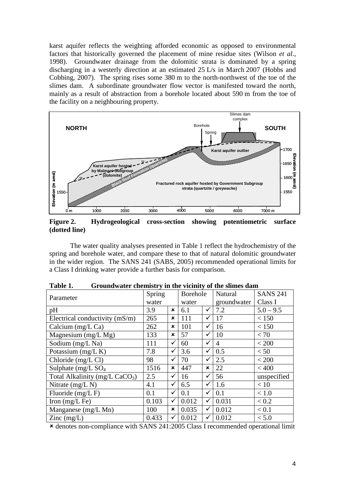karst aquifer reflects the weighting afforded economic as opposed to environmental factors that historically governed the placement of mine residue sites (Wilson *et al*., 1998). Groundwater drainage from the dolomitic strata is dominated by a spring discharging in a westerly direction at an estimated 25 L/s in March 2007 (Hobbs and Cobbing, 2007). The spring rises some 380 m to the north-northwest of the toe of the slimes dam. A subordinate groundwater flow vector is manifested toward the north, mainly as a result of abstraction from a borehole located about 590 m from the toe of the facility on a neighbouring property.



**Figure 2. Hydrogeological cross-section showing potentiometric surface (dotted line)** 

| je<br>1650<br>1650<br>19<br>Karst aquifer hosted ~ "<br>by Malmani-Subgroup<br>Elevation (m amsl)<br>$\begin{bmatrix} 6 & 1 & 1 \\ 1 & 6 & 0 \\ 0 & 1 & 1 \\ 0 & 0 & 1 \end{bmatrix}$<br>dolomite)<br>Fractured rock aquifer hosted by Government Subgroup<br>strata (quartzite / greywacke)<br>1550<br>1550-                                                                                              |      |                 |              |                          |                         |                        |                            |  |
|------------------------------------------------------------------------------------------------------------------------------------------------------------------------------------------------------------------------------------------------------------------------------------------------------------------------------------------------------------------------------------------------------------|------|-----------------|--------------|--------------------------|-------------------------|------------------------|----------------------------|--|
| 1000<br>0 m                                                                                                                                                                                                                                                                                                                                                                                                | 2000 | 3000            |              | 4000                     | 5000                    | 6000                   | 7000 m                     |  |
| Figure 2.<br>Hydrogeological<br>showing<br>surface<br>cross-section<br>potentiometric<br>(dotted line)                                                                                                                                                                                                                                                                                                     |      |                 |              |                          |                         |                        |                            |  |
| The water quality analyses presented in Table 1 reflect the hydrochemistry of the<br>spring and borehole water, and compare these to that of natural dolomitic groundwater<br>in the wider region. The SANS 241 (SABS, 2005) recommended operational limits for<br>a Class I drinking water provide a further basis for comparison.<br>Groundwater chemistry in the vicinity of the slimes dam<br>Table 1. |      |                 |              |                          |                         |                        |                            |  |
| Parameter                                                                                                                                                                                                                                                                                                                                                                                                  |      | Spring<br>water |              | <b>Borehole</b><br>water |                         | Natural<br>groundwater | <b>SANS 241</b><br>Class I |  |
| pH                                                                                                                                                                                                                                                                                                                                                                                                         |      | 3.9             | ×            | 6.1                      | ✓                       | 7.2                    | $5.0 - 9.5$                |  |
| Electrical conductivity (mS/m)                                                                                                                                                                                                                                                                                                                                                                             |      | 265             | ×            | 111                      | ✓                       | 17                     | < 150                      |  |
| Calcium (mg/L Ca)                                                                                                                                                                                                                                                                                                                                                                                          |      | 262             | ×            | 101                      | $\overline{\checkmark}$ | 16                     | < 150                      |  |
| Magnesium $(mg/L Mg)$                                                                                                                                                                                                                                                                                                                                                                                      |      | 133             | ×            | 57                       | $\checkmark$            | 10                     | < 70                       |  |
| Sodium (mg/L Na)                                                                                                                                                                                                                                                                                                                                                                                           |      | 111             | ✓            | 60                       | $\checkmark$            | $\overline{4}$         | < 200                      |  |
| Potassium (mg/L K)                                                                                                                                                                                                                                                                                                                                                                                         |      | 7.8             | ✓            | 3.6                      | $\checkmark$            | 0.5                    | < 50                       |  |
| Chloride (mg/L Cl)                                                                                                                                                                                                                                                                                                                                                                                         |      | 98              | ✓            | 70                       | $\checkmark$            | 2.5                    | < 200                      |  |
| Sulphate ( $mg/L$ SO <sub>4</sub>                                                                                                                                                                                                                                                                                                                                                                          |      | 1516            | ×            | 447                      | ×                       | 22                     | < 400                      |  |
| Total Alkalinity (mg/L CaCO <sub>3</sub> )                                                                                                                                                                                                                                                                                                                                                                 |      | 2.5             | ✓            | 16                       | $\checkmark$            | $\overline{56}$        | unspecified                |  |
| Nitrate (mg/L N)                                                                                                                                                                                                                                                                                                                                                                                           |      | 4.1             | ✓            | 6.5                      | $\checkmark$            | 1.6                    | < 10                       |  |
| Fluoride (mg/L F)                                                                                                                                                                                                                                                                                                                                                                                          |      | 0.1             | $\checkmark$ | 0.1                      | $\overline{\checkmark}$ | 0.1                    | < 1.0                      |  |
| Iron $(mg/L \nFe)$                                                                                                                                                                                                                                                                                                                                                                                         |      | 0.103           | ✓            | 0.012                    | $\checkmark$            | 0.031                  | < 0.2                      |  |
| Manganese (mg/L Mn)                                                                                                                                                                                                                                                                                                                                                                                        |      | 100             | ×            | 0.035                    | $\checkmark$            | 0.012                  | < 0.1                      |  |
| Zinc (mg/L)                                                                                                                                                                                                                                                                                                                                                                                                |      | 0.433           | ✓            | 0.012                    | $\checkmark$            | 0.012                  | < 5.0                      |  |
| * denotes non-compliance with SANS 241:2005 Class I recommended operational limit                                                                                                                                                                                                                                                                                                                          |      |                 |              |                          |                         |                        |                            |  |

| Table 1. | Groundwater chemistry in the vicinity of the slimes dam |
|----------|---------------------------------------------------------|
|----------|---------------------------------------------------------|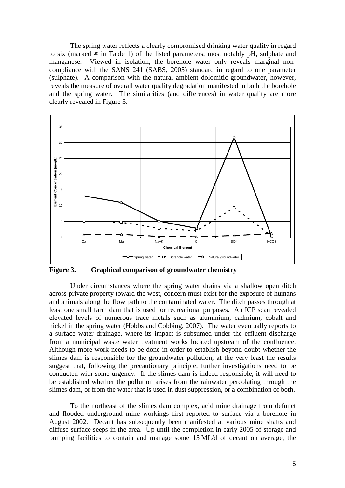The spring water reflects a clearly compromised drinking water quality in regard to six (marked  $\star$  in Table 1) of the listed parameters, most notably pH, sulphate and manganese. Viewed in isolation, the borehole water only reveals marginal noncompliance with the SANS 241 (SABS, 2005) standard in regard to one parameter (sulphate). A comparison with the natural ambient dolomitic groundwater, however, reveals the measure of overall water quality degradation manifested in both the borehole and the spring water. The similarities (and differences) in water quality are more clearly revealed in Figure 3.



**Figure 3. Graphical comparison of groundwater chemistry** 

Under circumstances where the spring water drains via a shallow open ditch across private property toward the west, concern must exist for the exposure of humans and animals along the flow path to the contaminated water. The ditch passes through at least one small farm dam that is used for recreational purposes. An ICP scan revealed elevated levels of numerous trace metals such as aluminium, cadmium, cobalt and nickel in the spring water (Hobbs and Cobbing, 2007). The water eventually reports to a surface water drainage, where its impact is subsumed under the effluent discharge from a municipal waste water treatment works located upstream of the confluence. Although more work needs to be done in order to establish beyond doubt whether the slimes dam is responsible for the groundwater pollution, at the very least the results suggest that, following the precautionary principle, further investigations need to be conducted with some urgency. If the slimes dam is indeed responsible, it will need to be established whether the pollution arises from the rainwater percolating through the slimes dam, or from the water that is used in dust suppression, or a combination of both.

To the northeast of the slimes dam complex, acid mine drainage from defunct and flooded underground mine workings first reported to surface via a borehole in August 2002. Decant has subsequently been manifested at various mine shafts and diffuse surface seeps in the area. Up until the completion in early-2005 of storage and pumping facilities to contain and manage some 15 ML/d of decant on average, the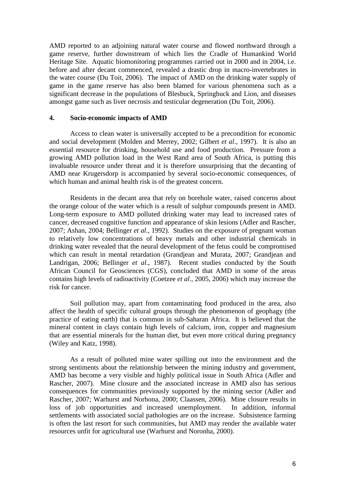AMD reported to an adjoining natural water course and flowed northward through a game reserve, further downstream of which lies the Cradle of Humankind World Heritage Site. Aquatic biomonitoring programmes carried out in 2000 and in 2004, i.e. before and after decant commenced, revealed a drastic drop in macro-invertebrates in the water course (Du Toit, 2006). The impact of AMD on the drinking water supply of game in the game reserve has also been blamed for various phenomena such as a significant decrease in the populations of Blesbuck, Springbuck and Lion, and diseases amongst game such as liver necrosis and testicular degeneration (Du Toit, 2006).

#### **4. Socio-economic impacts of AMD**

Access to clean water is universally accepted to be a precondition for economic and social development (Molden and Merrey, 2002; Gilbert *et al*., 1997). It is also an essential resource for drinking, household use and food production. Pressure from a growing AMD pollution load in the West Rand area of South Africa, is putting this invaluable resource under threat and it is therefore unsurprising that the decanting of AMD near Krugersdorp is accompanied by several socio-economic consequences, of which human and animal health risk is of the greatest concern.

Residents in the decant area that rely on borehole water, raised concerns about the orange colour of the water which is a result of sulphur compounds present in AMD. Long-term exposure to AMD polluted drinking water may lead to increased rates of cancer, decreased cognitive function and appearance of skin lesions (Adler and Rascher, 2007; Ashan, 2004; Bellinger *et al*., 1992). Studies on the exposure of pregnant woman to relatively low concentrations of heavy metals and other industrial chemicals in drinking water revealed that the neural development of the fetus could be compromised which can result in mental retardation (Grandjean and Murata, 2007; Grandjean and Landrigan, 2006; Bellinger *et al*., 1987). Recent studies conducted by the South African Council for Geosciences (CGS), concluded that AMD in some of the areas contains high levels of radioactivity (Coetzee *et al*., 2005, 2006) which may increase the risk for cancer.

Soil pollution may, apart from contaminating food produced in the area, also affect the health of specific cultural groups through the phenomenon of geophagy (the practice of eating earth) that is common in sub-Saharan Africa. It is believed that the mineral content in clays contain high levels of calcium, iron, copper and magnesium that are essential minerals for the human diet, but even more critical during pregnancy (Wiley and Katz, 1998).

As a result of polluted mine water spilling out into the environment and the strong sentiments about the relationship between the mining industry and government, AMD has become a very visible and highly political issue in South Africa (Adler and Rascher, 2007). Mine closure and the associated increase in AMD also has serious consequences for communities previously supported by the mining sector (Adler and Rascher, 2007; Warhurst and Norhona, 2000; Claassen, 2006). Mine closure results in loss of job opportunities and increased unemployment. In addition, informal settlements with associated social pathologies are on the increase. Subsistence farming is often the last resort for such communities, but AMD may render the available water resources unfit for agricultural use (Warhurst and Noronha, 2000).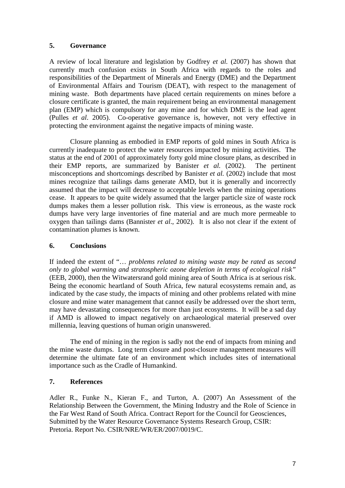# **5. Governance**

A review of local literature and legislation by Godfrey *et al.* (2007) has shown that currently much confusion exists in South Africa with regards to the roles and responsibilities of the Department of Minerals and Energy (DME) and the Department of Environmental Affairs and Tourism (DEAT), with respect to the management of mining waste. Both departments have placed certain requirements on mines before a closure certificate is granted, the main requirement being an environmental management plan (EMP) which is compulsory for any mine and for which DME is the lead agent (Pulles *et al*. 2005). Co-operative governance is, however, not very effective in protecting the environment against the negative impacts of mining waste.

Closure planning as embodied in EMP reports of gold mines in South Africa is currently inadequate to protect the water resources impacted by mining activities. The status at the end of 2001 of approximately forty gold mine closure plans, as described in their EMP reports, are summarized by Banister *et al.* (2002). The pertinent misconceptions and shortcomings described by Banister *et al.* (2002) include that most mines recognize that tailings dams generate AMD, but it is generally and incorrectly assumed that the impact will decrease to acceptable levels when the mining operations cease. It appears to be quite widely assumed that the larger particle size of waste rock dumps makes them a lesser pollution risk. This view is erroneous, as the waste rock dumps have very large inventories of fine material and are much more permeable to oxygen than tailings dams (Bannister *et al*., 2002). It is also not clear if the extent of contamination plumes is known.

# **6. Conclusions**

If indeed the extent of "… *problems related to mining waste may be rated as second only to global warming and stratospheric ozone depletion in terms of ecological risk"* (EEB, 2000), then the Witwatersrand gold mining area of South Africa is at serious risk. Being the economic heartland of South Africa, few natural ecosystems remain and, as indicated by the case study, the impacts of mining and other problems related with mine closure and mine water management that cannot easily be addressed over the short term, may have devastating consequences for more than just ecosystems. It will be a sad day if AMD is allowed to impact negatively on archaeological material preserved over millennia, leaving questions of human origin unanswered.

The end of mining in the region is sadly not the end of impacts from mining and the mine waste dumps. Long term closure and post-closure management measures will determine the ultimate fate of an environment which includes sites of international importance such as the Cradle of Humankind.

# **7. References**

Adler R., Funke N., Kieran F., and Turton, A. (2007) An Assessment of the Relationship Between the Government, the Mining Industry and the Role of Science in the Far West Rand of South Africa. Contract Report for the Council for Geosciences, Submitted by the Water Resource Governance Systems Research Group, CSIR: Pretoria. Report No. CSIR/NRE/WR/ER/2007/0019/C.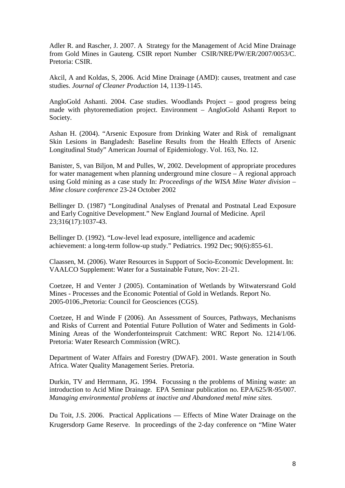Adler R. and Rascher, J. 2007. A Strategy for the Management of Acid Mine Drainage from Gold Mines in Gauteng. CSIR report Number CSIR/NRE/PW/ER/2007/0053/C. Pretoria: CSIR.

Akcil, A and Koldas, S, 2006. Acid Mine Drainage (AMD): causes, treatment and case studies. *Journal of Cleaner Production* 14, 1139-1145.

AngloGold Ashanti. 2004. Case studies. Woodlands Project – good progress being made with phytoremediation project. Environment – AngloGold Ashanti Report to Society.

Ashan H. (2004). "Arsenic Exposure from Drinking Water and Risk of remalignant Skin Lesions in Bangladesh: Baseline Results from the Health Effects of Arsenic Longitudinal Study" American Journal of Epidemiology. Vol. 163, No. 12.

Banister, S, van Biljon, M and Pulles, W, 2002. Development of appropriate procedures for water management when planning underground mine closure – A regional approach using Gold mining as a case study In: *Proceedings of the WISA Mine Water division – Mine closure conference* 23-24 October 2002

Bellinger D. (1987) "Longitudinal Analyses of Prenatal and Postnatal Lead Exposure and Early Cognitive Development." New England Journal of Medicine. April 23;316(17):1037-43.

Bellinger D. (1992). "Low-level lead exposure, intelligence and academic achievement: a long-term follow-up study." Pediatrics. 1992 Dec; 90(6):855-61.

Claassen, M. (2006). Water Resources in Support of Socio-Economic Development. In: VAALCO Supplement: Water for a Sustainable Future, Nov: 21-21.

Coetzee, H and Venter J (2005). Contamination of Wetlands by Witwatersrand Gold Mines - Processes and the Economic Potential of Gold in Wetlands. Report No. 2005-0106.,Pretoria: Council for Geosciences (CGS).

Coetzee, H and Winde F (2006). An Assessment of Sources, Pathways, Mechanisms and Risks of Current and Potential Future Pollution of Water and Sediments in Gold-Mining Areas of the Wonderfonteinspruit Catchment: WRC Report No. 1214/1/06. Pretoria: Water Research Commission (WRC).

Department of Water Affairs and Forestry (DWAF). 2001. Waste generation in South Africa. Water Quality Management Series. Pretoria.

Durkin, TV and Herrmann, JG. 1994. Focussing n the problems of Mining waste: an introduction to Acid Mine Drainage. EPA Seminar publication no. EPA/625/R-95/007. *Managing environmental problems at inactive and Abandoned metal mine sites.* 

Du Toit, J.S. 2006. Practical Applications — Effects of Mine Water Drainage on the Krugersdorp Game Reserve. In proceedings of the 2-day conference on "Mine Water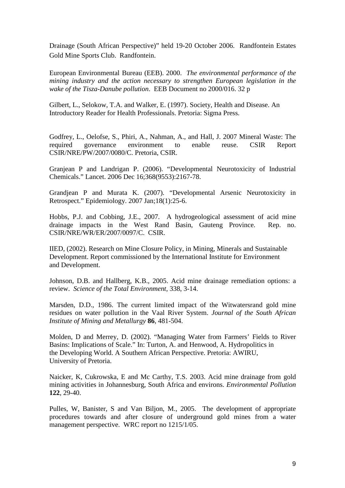Drainage (South African Perspective)" held 19-20 October 2006. Randfontein Estates Gold Mine Sports Club. Randfontein.

European Environmental Bureau (EEB). 2000. *The environmental performance of the mining industry and the action necessary to strengthen European legislation in the wake of the Tisza-Danube pollution*. EEB Document no 2000/016. 32 p

Gilbert, L., Selokow, T.A. and Walker, E. (1997). Society, Health and Disease. An Introductory Reader for Health Professionals. Pretoria: Sigma Press.

Godfrey, L., Oelofse, S., Phiri, A., Nahman, A., and Hall, J. 2007 Mineral Waste: The required governance environment to enable reuse. CSIR Report CSIR/NRE/PW/2007/0080/C. Pretoria, CSIR.

Granjean P and Landrigan P. (2006). "Developmental Neurotoxicity of Industrial Chemicals." Lancet. 2006 Dec 16;368(9553):2167-78.

Grandjean P and Murata K. (2007). "Developmental Arsenic Neurotoxicity in Retrospect." Epidemiology. 2007 Jan;18(1):25-6.

Hobbs, P.J. and Cobbing, J.E., 2007. A hydrogeological assessment of acid mine drainage impacts in the West Rand Basin, Gauteng Province. Rep. no. CSIR/NRE/WR/ER/2007/0097/C. CSIR.

IIED, (2002). Research on Mine Closure Policy, in Mining, Minerals and Sustainable Development. Report commissioned by the International Institute for Environment and Development.

Johnson, D.B. and Hallberg, K.B., 2005. Acid mine drainage remediation options: a review. *Science of the Total Environment*, 338, 3-14.

Marsden, D.D., 1986. The current limited impact of the Witwatersrand gold mine residues on water pollution in the Vaal River System. *Journal of the South African Institute of Mining and Metallurgy* **86**, 481-504.

Molden, D and Merrey, D. (2002). "Managing Water from Farmers' Fields to River Basins: Implications of Scale." In: Turton, A. and Henwood, A. Hydropolitics in the Developing World. A Southern African Perspective. Pretoria: AWIRU, University of Pretoria.

Naicker, K, Cukrowska, E and Mc Carthy, T.S. 2003. Acid mine drainage from gold mining activities in Johannesburg, South Africa and environs. *Environmental Pollution*  **122**, 29-40.

Pulles, W, Banister, S and Van Biljon, M., 2005. The development of appropriate procedures towards and after closure of underground gold mines from a water management perspective. WRC report no 1215/1/05.